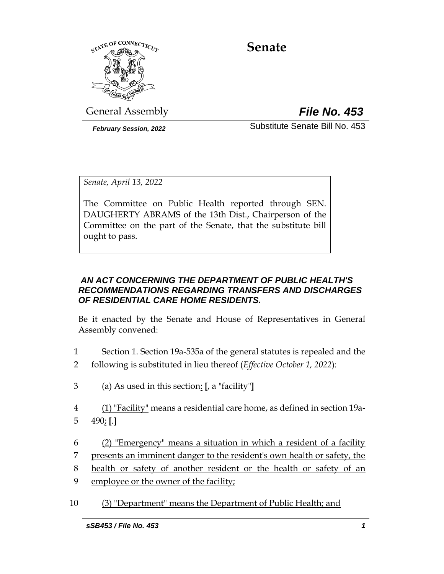

# **Senate**

General Assembly *File No. 453*

*February Session, 2022* Substitute Senate Bill No. 453

*Senate, April 13, 2022*

The Committee on Public Health reported through SEN. DAUGHERTY ABRAMS of the 13th Dist., Chairperson of the Committee on the part of the Senate, that the substitute bill ought to pass.

## *AN ACT CONCERNING THE DEPARTMENT OF PUBLIC HEALTH'S RECOMMENDATIONS REGARDING TRANSFERS AND DISCHARGES OF RESIDENTIAL CARE HOME RESIDENTS.*

Be it enacted by the Senate and House of Representatives in General Assembly convened:

- 1 Section 1. Section 19a-535a of the general statutes is repealed and the
- 2 following is substituted in lieu thereof (*Effective October 1, 2022*):
- 3 (a) As used in this section: **[**, a "facility"**]**
- 4 (1) "Facility" means a residential care home, as defined in section 19a-5 490; **[**.**]**
- 6 (2) "Emergency" means a situation in which a resident of a facility
- 7 presents an imminent danger to the resident's own health or safety, the
- 8 health or safety of another resident or the health or safety of an
- 9 employee or the owner of the facility;
- 10 (3) "Department" means the Department of Public Health; and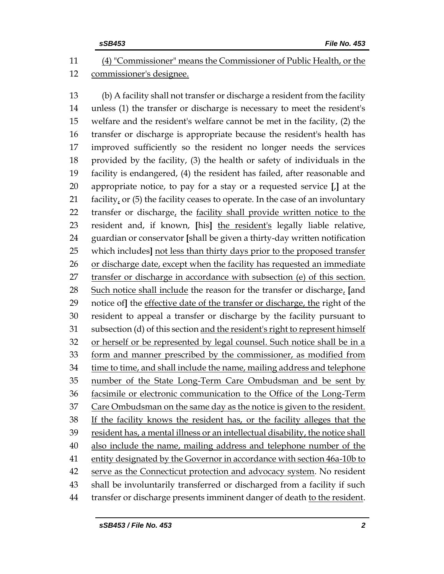## (4) "Commissioner" means the Commissioner of Public Health, or the commissioner's designee.

 (b) A facility shall not transfer or discharge a resident from the facility unless (1) the transfer or discharge is necessary to meet the resident's welfare and the resident's welfare cannot be met in the facility, (2) the transfer or discharge is appropriate because the resident's health has improved sufficiently so the resident no longer needs the services provided by the facility, (3) the health or safety of individuals in the facility is endangered, (4) the resident has failed, after reasonable and appropriate notice, to pay for a stay or a requested service **[**,**]** at the facility, or (5) the facility ceases to operate. In the case of an involuntary 22 transfer or discharge, the facility shall provide written notice to the resident and, if known, **[**his**]** the resident's legally liable relative, guardian or conservator **[**shall be given a thirty-day written notification which includes**]** not less than thirty days prior to the proposed transfer or discharge date, except when the facility has requested an immediate transfer or discharge in accordance with subsection (e) of this section. Such notice shall include the reason for the transfer or discharge, **[**and notice of**]** the effective date of the transfer or discharge, the right of the resident to appeal a transfer or discharge by the facility pursuant to subsection (d) of this section and the resident's right to represent himself or herself or be represented by legal counsel. Such notice shall be in a form and manner prescribed by the commissioner, as modified from time to time, and shall include the name, mailing address and telephone 35 number of the State Long-Term Care Ombudsman and be sent by facsimile or electronic communication to the Office of the Long-Term Care Ombudsman on the same day as the notice is given to the resident. If the facility knows the resident has, or the facility alleges that the resident has, a mental illness or an intellectual disability, the notice shall also include the name, mailing address and telephone number of the entity designated by the Governor in accordance with section 46a-10b to serve as the Connecticut protection and advocacy system. No resident shall be involuntarily transferred or discharged from a facility if such transfer or discharge presents imminent danger of death to the resident.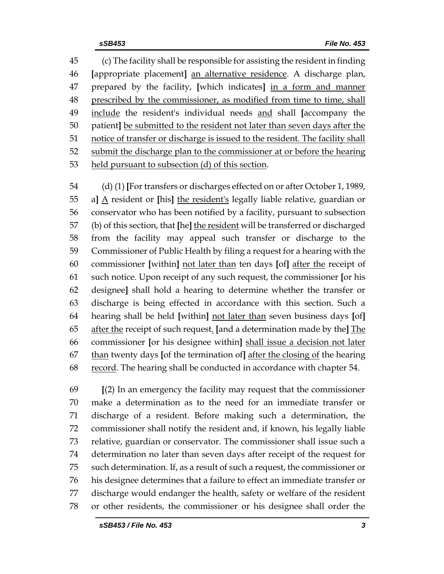(c) The facility shall be responsible for assisting the resident in finding **[**appropriate placement**]** an alternative residence. A discharge plan, prepared by the facility, **[**which indicates**]** in a form and manner prescribed by the commissioner, as modified from time to time, shall include the resident's individual needs and shall **[**accompany the patient**]** be submitted to the resident not later than seven days after the notice of transfer or discharge is issued to the resident. The facility shall submit the discharge plan to the commissioner at or before the hearing held pursuant to subsection (d) of this section.

 (d) (1) **[**For transfers or discharges effected on or after October 1, 1989, a**]** A resident or **[**his**]** the resident's legally liable relative, guardian or conservator who has been notified by a facility, pursuant to subsection (b) of this section, that **[**he**]** the resident will be transferred or discharged from the facility may appeal such transfer or discharge to the Commissioner of Public Health by filing a request for a hearing with the commissioner **[**within**]** not later than ten days **[**of**]** after the receipt of such notice. Upon receipt of any such request, the commissioner **[**or his designee**]** shall hold a hearing to determine whether the transfer or discharge is being effected in accordance with this section. Such a hearing shall be held **[**within**]** not later than seven business days **[**of**]** after the receipt of such request. **[**and a determination made by the**]** The commissioner **[**or his designee within**]** shall issue a decision not later than twenty days **[**of the termination of**]** after the closing of the hearing record. The hearing shall be conducted in accordance with chapter 54.

 **[**(2) In an emergency the facility may request that the commissioner make a determination as to the need for an immediate transfer or discharge of a resident. Before making such a determination, the commissioner shall notify the resident and, if known, his legally liable relative, guardian or conservator. The commissioner shall issue such a determination no later than seven days after receipt of the request for such determination. If, as a result of such a request, the commissioner or his designee determines that a failure to effect an immediate transfer or discharge would endanger the health, safety or welfare of the resident or other residents, the commissioner or his designee shall order the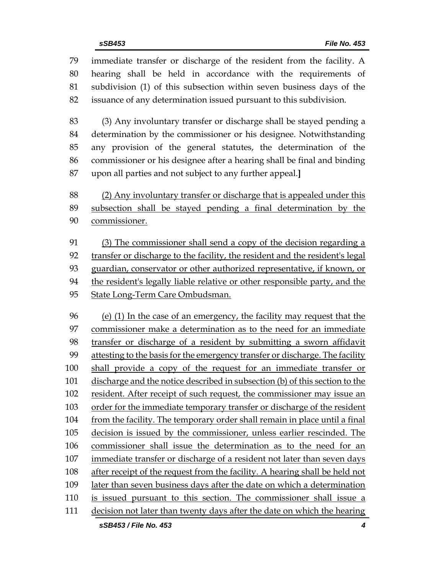immediate transfer or discharge of the resident from the facility. A hearing shall be held in accordance with the requirements of subdivision (1) of this subsection within seven business days of the issuance of any determination issued pursuant to this subdivision.

 (3) Any involuntary transfer or discharge shall be stayed pending a determination by the commissioner or his designee. Notwithstanding any provision of the general statutes, the determination of the commissioner or his designee after a hearing shall be final and binding upon all parties and not subject to any further appeal.**]**

 (2) Any involuntary transfer or discharge that is appealed under this subsection shall be stayed pending a final determination by the commissioner.

 (3) The commissioner shall send a copy of the decision regarding a transfer or discharge to the facility, the resident and the resident's legal guardian, conservator or other authorized representative, if known, or the resident's legally liable relative or other responsible party, and the State Long-Term Care Ombudsman.

 (e) (1) In the case of an emergency, the facility may request that the commissioner make a determination as to the need for an immediate transfer or discharge of a resident by submitting a sworn affidavit attesting to the basis for the emergency transfer or discharge. The facility shall provide a copy of the request for an immediate transfer or discharge and the notice described in subsection (b) of this section to the resident. After receipt of such request, the commissioner may issue an 103 order for the immediate temporary transfer or discharge of the resident from the facility. The temporary order shall remain in place until a final decision is issued by the commissioner, unless earlier rescinded. The commissioner shall issue the determination as to the need for an immediate transfer or discharge of a resident not later than seven days after receipt of the request from the facility. A hearing shall be held not later than seven business days after the date on which a determination is issued pursuant to this section. The commissioner shall issue a decision not later than twenty days after the date on which the hearing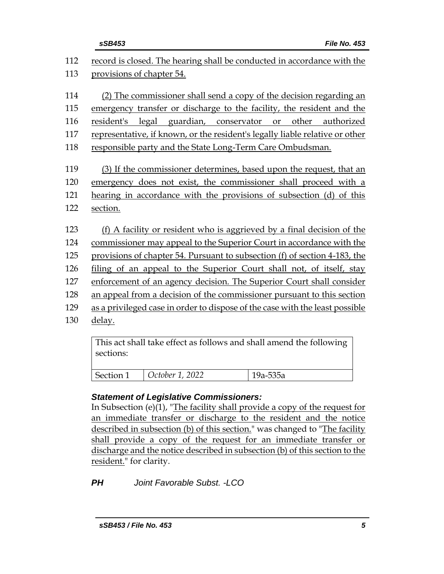| sSB453                                                                       |                                                                        |       | <b>File No. 453</b> |
|------------------------------------------------------------------------------|------------------------------------------------------------------------|-------|---------------------|
| record is closed. The hearing shall be conducted in accordance with the      |                                                                        |       |                     |
| provisions of chapter 54.                                                    |                                                                        |       |                     |
|                                                                              | (2) The commissioner shall send a copy of the decision regarding an    |       |                     |
| emergency transfer or discharge to the facility, the resident and the        |                                                                        |       |                     |
| resident's                                                                   | legal guardian, conservator or                                         | other | authorized          |
| representative, if known, or the resident's legally liable relative or other |                                                                        |       |                     |
| responsible party and the State Long-Term Care Ombudsman.                    |                                                                        |       |                     |
|                                                                              |                                                                        |       |                     |
|                                                                              | (3) If the commissioner determines, based upon the request, that an    |       |                     |
| emergency does not exist, the commissioner shall proceed with a              |                                                                        |       |                     |
| hearing in accordance with the provisions of subsection (d) of this          |                                                                        |       |                     |
| section.                                                                     |                                                                        |       |                     |
|                                                                              | (f) A facility or resident who is aggrieved by a final decision of the |       |                     |
| commissioner may appeal to the Superior Court in accordance with the         |                                                                        |       |                     |
| provisions of chapter 54. Pursuant to subsection (f) of section 4-183, the   |                                                                        |       |                     |
| filing of an appeal to the Superior Court shall not, of itself, stay         |                                                                        |       |                     |
| enforcement of an agency decision. The Superior Court shall consider         |                                                                        |       |                     |
| an appeal from a decision of the commissioner pursuant to this section       |                                                                        |       |                     |
| as a privileged case in order to dispose of the case with the least possible |                                                                        |       |                     |
| delay.                                                                       |                                                                        |       |                     |
|                                                                              |                                                                        |       |                     |
| This act shall take effect as follows and shall amend the following          |                                                                        |       |                     |

| sections: |                 |              |
|-----------|-----------------|--------------|
| Section 1 | October 1, 2022 | $19a - 535a$ |

## *Statement of Legislative Commissioners:*

In Subsection (e)(1), "The facility shall provide a copy of the request for an immediate transfer or discharge to the resident and the notice described in subsection (b) of this section." was changed to "The facility shall provide a copy of the request for an immediate transfer or discharge and the notice described in subsection (b) of this section to the resident." for clarity.

*PH Joint Favorable Subst. -LCO*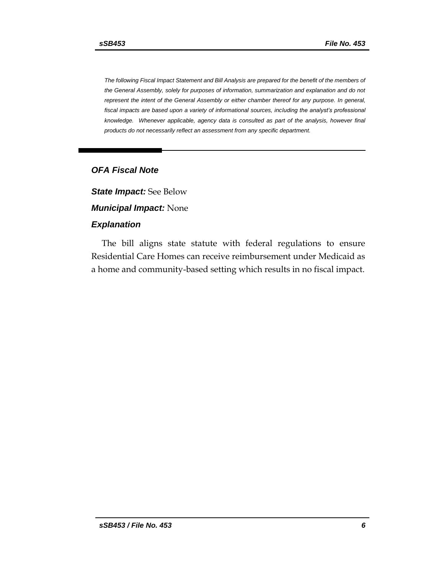*The following Fiscal Impact Statement and Bill Analysis are prepared for the benefit of the members of the General Assembly, solely for purposes of information, summarization and explanation and do not represent the intent of the General Assembly or either chamber thereof for any purpose. In general,*  fiscal impacts are based upon a variety of informational sources, including the analyst's professional *knowledge. Whenever applicable, agency data is consulted as part of the analysis, however final products do not necessarily reflect an assessment from any specific department.*

#### *OFA Fiscal Note*

*State Impact:* See Below *Municipal Impact:* None

## *Explanation*

The bill aligns state statute with federal regulations to ensure Residential Care Homes can receive reimbursement under Medicaid as a home and community-based setting which results in no fiscal impact.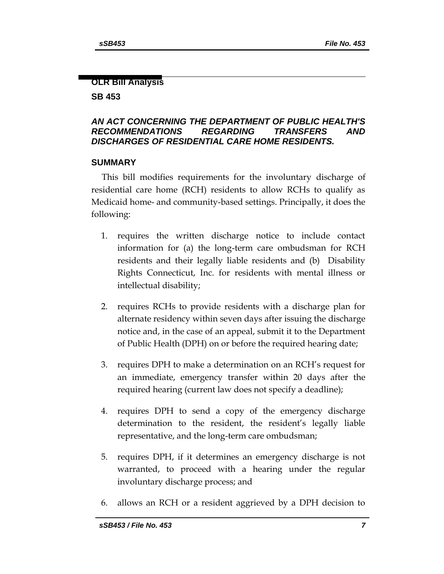#### **OLR Bill Analysis**

#### **SB 453**

## *AN ACT CONCERNING THE DEPARTMENT OF PUBLIC HEALTH'S RECOMMENDATIONS REGARDING TRANSFERS AND DISCHARGES OF RESIDENTIAL CARE HOME RESIDENTS.*

#### **SUMMARY**

This bill modifies requirements for the involuntary discharge of residential care home (RCH) residents to allow RCHs to qualify as Medicaid home- and community-based settings. Principally, it does the following:

- 1. requires the written discharge notice to include contact information for (a) the long-term care ombudsman for RCH residents and their legally liable residents and (b) Disability Rights Connecticut, Inc. for residents with mental illness or intellectual disability;
- 2. requires RCHs to provide residents with a discharge plan for alternate residency within seven days after issuing the discharge notice and, in the case of an appeal, submit it to the Department of Public Health (DPH) on or before the required hearing date;
- 3. requires DPH to make a determination on an RCH's request for an immediate, emergency transfer within 20 days after the required hearing (current law does not specify a deadline);
- 4. requires DPH to send a copy of the emergency discharge determination to the resident, the resident's legally liable representative, and the long-term care ombudsman;
- 5. requires DPH, if it determines an emergency discharge is not warranted, to proceed with a hearing under the regular involuntary discharge process; and
- 6. allows an RCH or a resident aggrieved by a DPH decision to